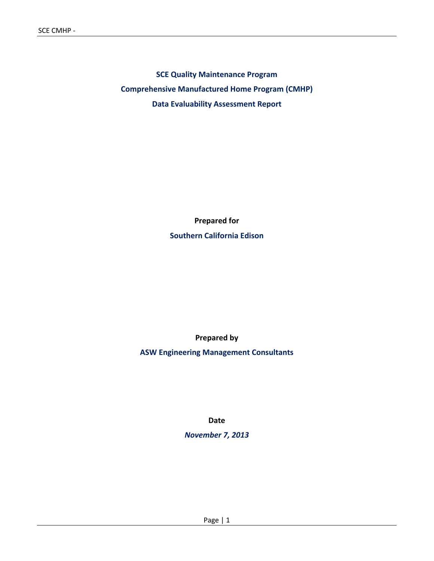**SCE Quality Maintenance Program Comprehensive Manufactured Home Program (CMHP) Data Evaluability Assessment Report**

> **Prepared for Southern California Edison**

> > **Prepared by**

**ASW Engineering Management Consultants**

**Date**

*November 7, 2013*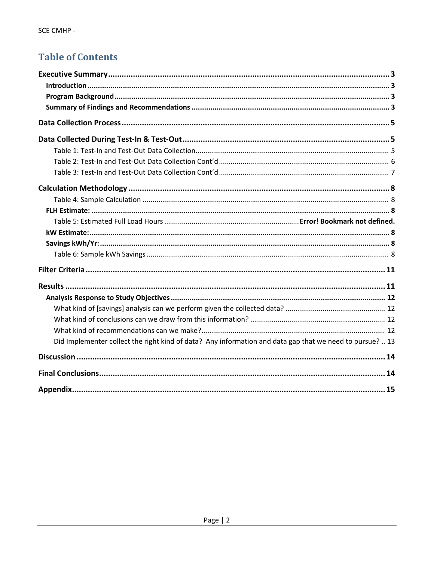## **Table of Contents**

| Did Implementer collect the right kind of data? Any information and data gap that we need to pursue?  13 |  |
|----------------------------------------------------------------------------------------------------------|--|
|                                                                                                          |  |
|                                                                                                          |  |
|                                                                                                          |  |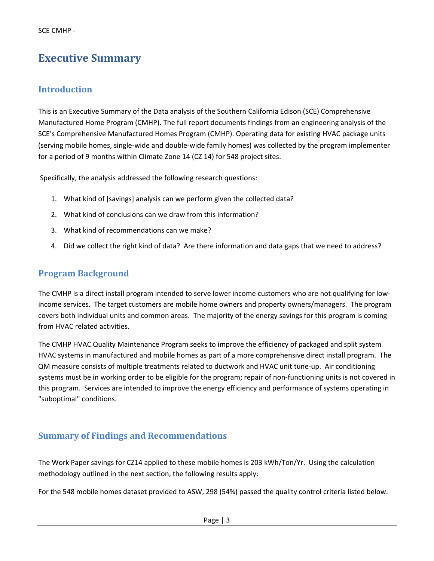## **Executive Summary**

### **Introduction**

This is an Executive Summary of the Data analysis of the Southern California Edison (SCE) Comprehensive Manufactured Home Program (CMHP). The full report documents findings from an engineering analysis of the SCE's Comprehensive Manufactured Homes Program (CMHP). Operating data for existing HVAC package units (serving mobile homes, single‐wide and double‐wide family homes) was collected by the program implementer for a period of 9 months within Climate Zone 14 (CZ 14) for 548 project sites.

Specifically, the analysis addressed the following research questions:

- 1. What kind of [savings] analysis can we perform given the collected data?
- 2. What kind of conclusions can we draw from this information?
- 3. What kind of recommendations can we make?
- 4. Did we collect the right kind of data? Are there information and data gaps that we need to address?

### **Program Background**

The CMHP is a direct install program intended to serve lower income customers who are not qualifying for low‐ income services. The target customers are mobile home owners and property owners/managers. The program covers both individual units and common areas. The majority of the energy savings for this program is coming from HVAC related activities.

The CMHP HVAC Quality Maintenance Program seeks to improve the efficiency of packaged and split system HVAC systems in manufactured and mobile homes as part of a more comprehensive direct install program. The QM measure consists of multiple treatments related to ductwork and HVAC unit tune‐up. Air conditioning systems must be in working order to be eligible for the program; repair of non-functioning units is not covered in this program. Services are intended to improve the energy efficiency and performance of systems operating in "suboptimal" conditions.

### **Summary of Findings and Recommendations**

The Work Paper savings for CZ14 applied to these mobile homes is 203 kWh/Ton/Yr. Using the calculation methodology outlined in the next section, the following results apply:

For the 548 mobile homes dataset provided to ASW, 298 (54%) passed the quality control criteria listed below.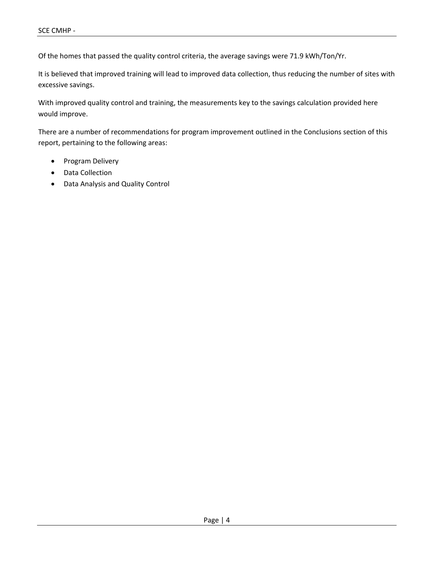Of the homes that passed the quality control criteria, the average savings were 71.9 kWh/Ton/Yr.

It is believed that improved training will lead to improved data collection, thus reducing the number of sites with excessive savings.

With improved quality control and training, the measurements key to the savings calculation provided here would improve.

There are a number of recommendations for program improvement outlined in the Conclusions section of this report, pertaining to the following areas:

- Program Delivery
- Data Collection
- Data Analysis and Quality Control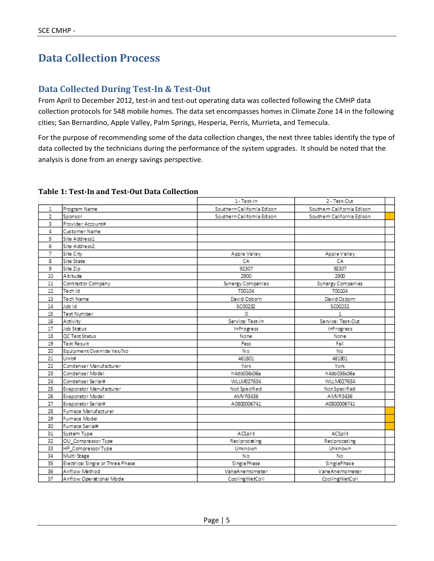### **Data Collection Process**

### **Data Collected During Test‐In & Test‐Out**

From April to December 2012, test-in and test-out operating data was collected following the CMHP data collection protocols for 548 mobile homes. The data set encompasses homes in Climate Zone 14 in the following cities; San Bernardino, Apple Valley, Palm Springs, Hesperia, Perris, Murrieta, and Temecula.

For the purpose of recommending some of the data collection changes, the next three tables identify the type of data collected by the technicians during the performance of the system upgrades. It should be noted that the analysis is done from an energy savings perspective.

|                |                                  | 1-Test-In<br>2 - Test-Out  |                            |  |
|----------------|----------------------------------|----------------------------|----------------------------|--|
| 1              | Program Name                     | Southern California Edison | Southern California Edison |  |
| 2              | Sponsor                          | Southern California Edison | Southern California Edison |  |
| 3              | Provider Account#                |                            |                            |  |
| 4              | Customer Name                    |                            |                            |  |
| 5              | Site Address1                    |                            |                            |  |
| 6              | Site Address2                    |                            |                            |  |
| $\overline{7}$ | Site City                        | Apple Valley               | Apple Valley               |  |
| 8              | Site State                       | CA                         | CA                         |  |
| 9              | Site Zip                         | 92307                      | 92307                      |  |
| 10             | Altitude                         | 2900                       | 2900                       |  |
| 11             | Contractor Company               | Synergy Companies          | Synergy Companies          |  |
| 12             | Tech Id                          | T00104                     | T00104                     |  |
| 13             | Tech Name                        | David Osborn               | David Osborn               |  |
| 14             | Job Id                           | SC00232                    | SC00232                    |  |
| 15             | Test Number                      | 0                          | 1                          |  |
| 16             | Activity                         | Service: Test-In           | Service: Test-Out          |  |
| 17             | Job Status                       | InProgress                 | InProgress                 |  |
| 18             | OC Test Status                   | None                       | None                       |  |
| 19             | Test Result                      | Pass                       | Fail                       |  |
| 20             | Equipment Override Yes/No        | Nο                         | No                         |  |
| 21             | Unit#                            | 461801                     | 461801                     |  |
| 22             | Condenser Manufacturer           | York                       | York                       |  |
| 23             | Condenser Model                  | h4db036s06a                | h4db036s06a                |  |
| 24             | Condenser Serial#                | WLLM027634                 | WLLM027634                 |  |
| 25             | Evaporator Manufacturer          | Not Specified              | Not Specified              |  |
| 26             | Evaporator Model                 | AMV R3436                  | AMVR3436                   |  |
| 27             | Evaporator Serial#               | A0800006741                | A0800006741                |  |
| 28             | Furnace Manufacturer             |                            |                            |  |
| 29             | Furnace Model                    |                            |                            |  |
| 30             | Furnace Serial#                  |                            |                            |  |
| 31             | System Type                      | ACSplit                    | ACSplit                    |  |
| 32             | OU_Compressor Type               | Reciprocating              | Reciprocating              |  |
| 33             | HP_CompressorType                | Unknown                    | Unknown                    |  |
| 34             | Multi Stage                      | No                         | No                         |  |
| 35             | Electrical Single or Three Phase | Single Phase               | SinglePhase                |  |
| 36             | Airflow Method                   | VaneAnemometer             | VaneAnemometer             |  |
| 37             | Airflow Operational Mode         | CoolingWetCoil             | CoolingWetCoil             |  |

#### **Table 1: Test‐In and Test‐Out Data Collection**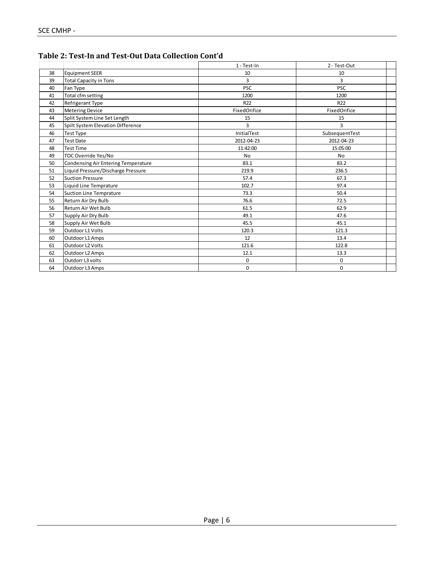|    |                                     | 1 - Test-In     | 2 - Test-Out   |
|----|-------------------------------------|-----------------|----------------|
| 38 | <b>Equipment SEER</b>               | 10              | 10             |
| 39 | <b>Total Capacity in Tons</b>       | 3               | 3              |
| 40 | Fan Type                            | <b>PSC</b>      | <b>PSC</b>     |
| 41 | Total cfm setting                   | 1200            | 1200           |
| 42 | Refrigerant Type                    | R <sub>22</sub> | R22            |
| 43 | <b>Metering Device</b>              | FixedOrifice    | FixedOrifice   |
| 44 | Split System Line Set Length        | 15              | 15             |
| 45 | Spilt System Elevation Difference   | 3               | 3              |
| 46 | Test Type                           | InitialTest     | SubsequentTest |
| 47 | Test Date                           | 2012-04-23      | 2012-04-23     |
| 48 | <b>Test Time</b>                    | 11:42:00        | 15:05:00       |
| 49 | TOC Override Yes/No                 | <b>No</b>       | <b>No</b>      |
| 50 | Condensing Air Entering Temperature | 83.1            | 83.2           |
| 51 | Liquid Pressure/Discharge Pressure  | 219.9           | 236.5          |
| 52 | <b>Suction Pressure</b>             | 57.4            | 67.3           |
| 53 | Liquid Line Temprature              | 102.7           | 97.4           |
| 54 | <b>Suction Line Temprature</b>      | 73.3            | 50.4           |
| 55 | Return Air Dry Bulb                 | 76.6            | 72.5           |
| 56 | Return Air Wet Bulb                 | 61.5            | 62.9           |
| 57 | Supply Air Dry Bulb                 | 49.1            | 47.6           |
| 58 | Supply Air Wet Bulb                 | 45.5            | 45.1           |
| 59 | Outdoor L1 Volts                    | 120.3           | 121.3          |
| 60 | Outdoor L1 Amps                     | 12              | 13.4           |
| 61 | Outdoor L2 Volts                    | 121.6           | 122.8          |
| 62 | Outdoor L2 Amps                     | 12.1            | 13.3           |
| 63 | Outdorr L3 volts                    | $\mathbf 0$     | 0              |
| 64 | Outdoor L3 Amps                     | $\mathbf 0$     | 0              |

**Table 2: Test‐In and Test‐Out Data Collection Cont'd**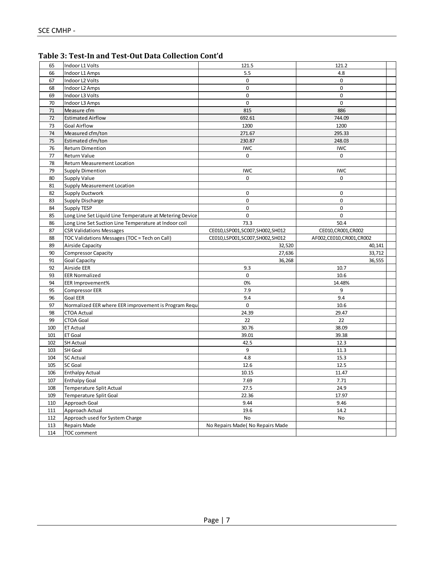| Table 3: Test-In and Test-Out Data Collection Cont'd |
|------------------------------------------------------|
|------------------------------------------------------|

| 65         | Indoor L1 Volts                                          | 121.5                           | 121.2                      |  |  |  |
|------------|----------------------------------------------------------|---------------------------------|----------------------------|--|--|--|
| 66         | Indoor L1 Amps                                           | 5.5                             | 4.8                        |  |  |  |
| 67         | Indoor L2 Volts                                          | $\mathbf 0$                     | $\mathbf 0$                |  |  |  |
| 68         | Indoor L2 Amps                                           | 0                               | 0                          |  |  |  |
| 69         | Indoor L3 Volts                                          | 0                               | 0                          |  |  |  |
| 70         | Indoor L3 Amps                                           | 0                               | $\mathbf 0$                |  |  |  |
| 71         | Measure cfm                                              | 815                             | 886                        |  |  |  |
| 72         | <b>Estimated Airflow</b>                                 | 692.61                          | 744.09                     |  |  |  |
| 73         | <b>Goal Airflow</b>                                      | 1200                            | 1200                       |  |  |  |
| 74         | Measured cfm/ton                                         | 271.67                          | 295.33                     |  |  |  |
| 75         | Estimated cfm/ton                                        | 230.87                          | 248.03                     |  |  |  |
| 76         | <b>Return Dimention</b>                                  | <b>IWC</b>                      | <b>IWC</b>                 |  |  |  |
| 77         | <b>Return Value</b>                                      | 0                               | 0                          |  |  |  |
| 78         | <b>Return Measurement Location</b>                       |                                 |                            |  |  |  |
| 79         | <b>Supply Dimention</b>                                  | <b>IWC</b>                      | <b>IWC</b>                 |  |  |  |
| 80         | <b>Supply Value</b>                                      | 0                               | $\mathbf 0$                |  |  |  |
| 81         | <b>Supply Measurement Location</b>                       |                                 |                            |  |  |  |
| 82         | <b>Supply Ductwork</b>                                   | 0                               | 0                          |  |  |  |
| 83         | <b>Supply Discharge</b>                                  | 0                               | $\mathbf 0$                |  |  |  |
| 84         | <b>Supply TESP</b>                                       | $\mathbf 0$                     | $\mathbf 0$                |  |  |  |
| 85         | Long Line Set Liquid Line Temperature at Metering Device | $\mathbf 0$                     | 0                          |  |  |  |
| 86         | Long Line Set Suction Line Temperature at Indoor coil    | 73.3                            | 50.4                       |  |  |  |
| 87         | <b>CSR Validations Messages</b>                          | CE010,LSP001,SC007,SH002,SH012  | CE010, CR001, CR002        |  |  |  |
| 88         | TOC Validations Messages (TOC = Tech on Call)            | CE010,LSP001,SC007,SH002,SH012  | AF002, CE010, CR001, CR002 |  |  |  |
| 89         | Airside Capacity                                         | 32,520                          |                            |  |  |  |
| 90         | <b>Compressor Capacity</b>                               | 27,636<br>33,712                |                            |  |  |  |
| 91         | <b>Goal Capacity</b>                                     | 36,268<br>36,555                |                            |  |  |  |
| 92         | Airside EER                                              | 9.3                             | 10.7                       |  |  |  |
| 93         | <b>EER Normalized</b>                                    | $\mathbf 0$                     | 10.6                       |  |  |  |
| 94         | EER Improvement%                                         | 0%                              |                            |  |  |  |
| 95         |                                                          |                                 |                            |  |  |  |
|            | <b>Compressor EER</b>                                    | 7.9                             | 14.48%<br>9                |  |  |  |
| 96         | <b>Goal EER</b>                                          | 9.4                             | 9.4                        |  |  |  |
| 97         | Normalized EER where EER improvement is Program Requ     | 0                               | 10.6                       |  |  |  |
| 98         | <b>CTOA Actual</b>                                       | 24.39                           | 29.47                      |  |  |  |
| 99         | <b>CTOA Goal</b>                                         | 22                              | 22                         |  |  |  |
| 100        | <b>ET Actual</b>                                         | 30.76                           | 38.09                      |  |  |  |
| 101        | ET Goal                                                  | 39.01                           | 39.38                      |  |  |  |
| 102        | <b>SH Actual</b>                                         | 42.5                            | 12.3                       |  |  |  |
| 103        | SH Goal                                                  | 9                               | 11.3                       |  |  |  |
| 104        | <b>SC Actual</b>                                         | 4.8                             | 15.3                       |  |  |  |
| 105        | <b>SC Goal</b>                                           | 12.6                            | 12.5                       |  |  |  |
| 106        | <b>Enthalpy Actual</b>                                   | 10.15                           | 11.47                      |  |  |  |
| 107        | <b>Enthalpy Goal</b>                                     | 7.69                            | 7.71                       |  |  |  |
| 108        | Temperature Split Actual                                 | 27.5                            | 24.9                       |  |  |  |
| 109        | <b>Temperature Split Goal</b>                            | 22.36                           | 17.97                      |  |  |  |
| 110        | Approach Goal                                            | 9.44                            | 9.46                       |  |  |  |
| 111        | Approach Actual                                          | 19.6                            | 14.2                       |  |  |  |
| 112        | Approach used for System Charge                          | No                              | No                         |  |  |  |
| 113<br>114 | Repairs Made<br>TOC comment                              | No Repairs Made(No Repairs Made |                            |  |  |  |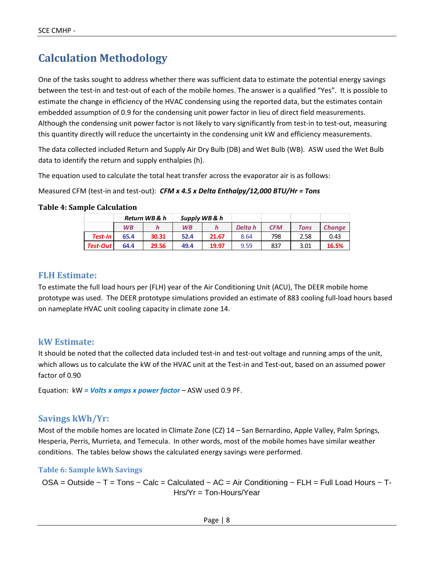## **Calculation Methodology**

One of the tasks sought to address whether there was sufficient data to estimate the potential energy savings between the test‐in and test‐out of each of the mobile homes. The answer is a qualified "Yes". It is possible to estimate the change in efficiency of the HVAC condensing using the reported data, but the estimates contain embedded assumption of 0.9 for the condensing unit power factor in lieu of direct field measurements. Although the condensing unit power factor is not likely to vary significantly from test-in to test-out, measuring this quantity directly will reduce the uncertainty in the condensing unit kW and efficiency measurements.

The data collected included Return and Supply Air Dry Bulb (DB) and Wet Bulb (WB). ASW used the Wet Bulb data to identify the return and supply enthalpies (h).

The equation used to calculate the total heat transfer across the evaporator air is as follows:

Measured CFM (test‐in and test‐out): *CFM x 4.5 x Delta Enthalpy/12,000 BTU/Hr = Tons*

#### **Table 4: Sample Calculation**

|                 | Return WB & h |       | Supply WB & h |       |         |            |             |               |
|-----------------|---------------|-------|---------------|-------|---------|------------|-------------|---------------|
|                 | <b>WB</b>     |       | <b>WB</b>     |       | Delta h | <b>CFM</b> | <b>Tons</b> | <b>Change</b> |
| Test-In I       | 65.4          | 30.31 | 52.4          | 21.67 | 8.64    | 798        | 2.58        | 0.43          |
| <b>Test-Out</b> | 64.4          | 29.56 | 49.4          | 19.97 | 9.59    | 837        | 3.01        | 16.5%         |

#### **FLH Estimate:**

To estimate the full load hours per (FLH) year of the Air Conditioning Unit (ACU), The DEER mobile home prototype was used. The DEER prototype simulations provided an estimate of 883 cooling full‐load hours based on nameplate HVAC unit cooling capacity in climate zone 14.

#### **kW Estimate:**

It should be noted that the collected data included test-in and test-out voltage and running amps of the unit, which allows us to calculate the kW of the HVAC unit at the Test-in and Test-out, based on an assumed power factor of 0.90

Equation: kW *= Volts x amps x power factor* – ASW used 0.9 PF.

### **Savings kWh/Yr:**

Most of the mobile homes are located in Climate Zone (CZ) 14 - San Bernardino, Apple Valley, Palm Springs, Hesperia, Perris, Murrieta, and Temecula. In other words, most of the mobile homes have similar weather conditions. The tables below shows the calculated energy savings were performed.

#### **Table 6: Sample kWh Savings**

OSA = Outside  $\sim$  T = Tons  $\sim$  Calc = Calculated  $\sim$  AC = Air Conditioning  $\sim$  FLH = Full Load Hours  $\sim$  T-Hrs/Yr = Ton-Hours/Year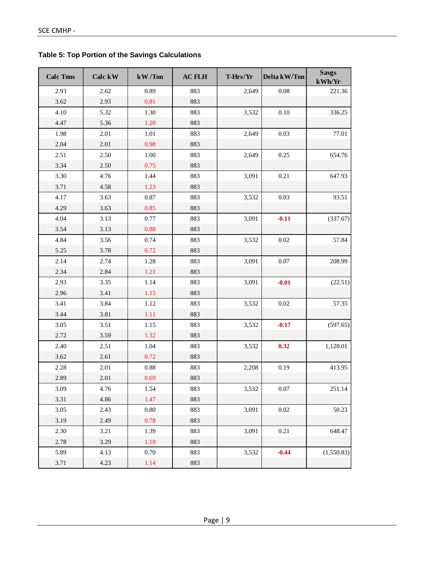|  |  | <b>Table 5: Top Portion of the Savings Calculations</b> |  |
|--|--|---------------------------------------------------------|--|
|--|--|---------------------------------------------------------|--|

| <b>Calc Tons</b> | Calc kW | kW/Ton     | <b>AC FLH</b> | T-Hrs/Yr | Delta kW/Ton | <b>Savgs</b><br>kWh/Yr |
|------------------|---------|------------|---------------|----------|--------------|------------------------|
| 2.93             | 2.62    | 0.89       | 883           | 2,649    | 0.08         | 221.36                 |
| 3.62             | 2.93    | 0.81       | 883           |          |              |                        |
| 4.10             | 5.32    | 1.30       | 883           | 3,532    | 0.10         | 336.25                 |
| 4.47             | 5.36    | 1.20       | 883           |          |              |                        |
| 1.98             | 2.01    | 1.01       | 883           | 2,649    | 0.03         | 77.01                  |
| 2.04             | 2.01    | 0.98       | 883           |          |              |                        |
| 2.51             | 2.50    | 1.00       | 883           | 2,649    | 0.25         | 654.76                 |
| 3.34             | 2.50    | 0.75       | 883           |          |              |                        |
| 3.30             | 4.76    | 1.44       | 883           | 3,091    | 0.21         | 647.93                 |
| 3.71             | 4.58    | 1.23       | 883           |          |              |                        |
| 4.17             | 3.63    | 0.87       | 883           | 3,532    | 0.03         | 93.51                  |
| 4.29             | 3.63    | 0.85       | 883           |          |              |                        |
| 4.04             | 3.13    | 0.77       | 883           | 3,091    | $-0.11$      | (337.67)               |
| 3.54             | 3.13    | 0.88       | 883           |          |              |                        |
| 4.84             | 3.56    | 0.74       | 883           | 3,532    | 0.02         | 57.84                  |
| 5.25             | 3.78    | 0.72       | 883           |          |              |                        |
| 2.14             | 2.74    | 1.28       | 883           | 3,091    | 0.07         | 208.99                 |
| 2.34             | 2.84    | 1.21       | 883           |          |              |                        |
| 2.93             | 3.35    | 1.14       | 883           | 3,091    | $-0.01$      | (22.51)                |
| 2.96             | 3.41    | 1.15       | 883           |          |              |                        |
| 3.41             | 3.84    | 1.12       | 883           | 3,532    | 0.02         | 57.35                  |
| 3.44             | 3.81    | 1.11       | 883           |          |              |                        |
| 3.05             | 3.51    | 1.15       | 883           | 3,532    | $-0.17$      | (597.65)               |
| 2.72             | 3.59    | 1.32       | 883           |          |              |                        |
| 2.40             | 2.51    | 1.04       | 883           | 3,532    | 0.32         | 1,128.01               |
| 3.62             | 2.61    | 0.72       | 883           |          |              |                        |
| 2.28             | 2.01    | $\rm 0.88$ | 883           | 2,208    | 0.19         | 413.95                 |
| 2.89             | 2.01    | 0.69       | 883           |          |              |                        |
| 3.09             | 4.76    | 1.54       | 883           | 3,532    | $0.07\,$     | 251.14                 |
| 3.31             | 4.86    | 1.47       | 883           |          |              |                        |
| 3.05             | 2.43    | 0.80       | 883           | 3,091    | $0.02\,$     | 50.23                  |
| 3.19             | 2.49    | 0.78       | 883           |          |              |                        |
| 2.30             | 3.21    | 1.39       | 883           | 3,091    | 0.21         | 648.47                 |
| 2.78             | 3.29    | 1.18       | 883           |          |              |                        |
| 5.89             | 4.13    | 0.70       | 883           | 3,532    | $-0.44$      | (1,550.83)             |
| 3.71             | 4.23    | 1.14       | 883           |          |              |                        |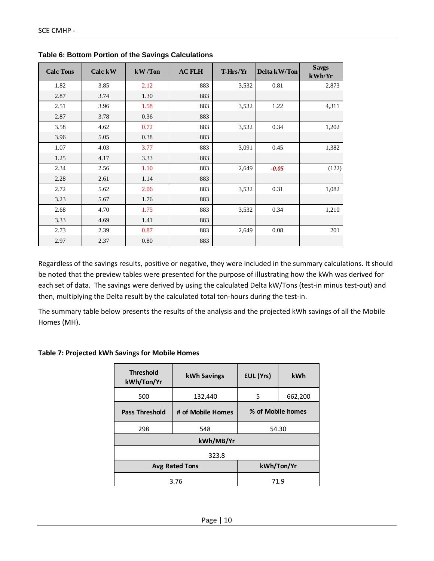| <b>Calc Tons</b> | Calc kW | kW/Ton | <b>AC FLH</b> | T-Hrs/Yr | Delta kW/Ton | <b>Savgs</b><br>kWh/Yr |
|------------------|---------|--------|---------------|----------|--------------|------------------------|
| 1.82             | 3.85    | 2.12   | 883           | 3,532    | 0.81         | 2,873                  |
| 2.87             | 3.74    | 1.30   | 883           |          |              |                        |
| 2.51             | 3.96    | 1.58   | 883           | 3,532    | 1.22         | 4,311                  |
| 2.87             | 3.78    | 0.36   | 883           |          |              |                        |
| 3.58             | 4.62    | 0.72   | 883           | 3,532    | 0.34         | 1,202                  |
| 3.96             | 5.05    | 0.38   | 883           |          |              |                        |
| 1.07             | 4.03    | 3.77   | 883           | 3,091    | 0.45         | 1,382                  |
| 1.25             | 4.17    | 3.33   | 883           |          |              |                        |
| 2.34             | 2.56    | 1.10   | 883           | 2,649    | $-0.05$      | (122)                  |
| 2.28             | 2.61    | 1.14   | 883           |          |              |                        |
| 2.72             | 5.62    | 2.06   | 883           | 3,532    | 0.31         | 1,082                  |
| 3.23             | 5.67    | 1.76   | 883           |          |              |                        |
| 2.68             | 4.70    | 1.75   | 883           | 3,532    | 0.34         | 1,210                  |
| 3.33             | 4.69    | 1.41   | 883           |          |              |                        |
| 2.73             | 2.39    | 0.87   | 883           | 2,649    | 0.08         | 201                    |
| 2.97             | 2.37    | 0.80   | 883           |          |              |                        |

**Table 6: Bottom Portion of the Savings Calculations** 

Regardless of the savings results, positive or negative, they were included in the summary calculations. It should be noted that the preview tables were presented for the purpose of illustrating how the kWh was derived for each set of data. The savings were derived by using the calculated Delta kW/Tons (test-in minus test-out) and then, multiplying the Delta result by the calculated total ton‐hours during the test‐in.

The summary table below presents the results of the analysis and the projected kWh savings of all the Mobile Homes (MH).

| <b>Threshold</b><br>kWh/Ton/Yr | EUL (Yrs)<br><b>kWh Savings</b> |                   |            |  |  |
|--------------------------------|---------------------------------|-------------------|------------|--|--|
| 500                            | 132,440                         | 662,200<br>5      |            |  |  |
| <b>Pass Threshold</b>          | # of Mobile Homes               | % of Mobile homes |            |  |  |
| 298                            | 548                             | 54.30             |            |  |  |
| kWh/MB/Yr                      |                                 |                   |            |  |  |
| 323.8                          |                                 |                   |            |  |  |
|                                | <b>Avg Rated Tons</b>           |                   | kWh/Ton/Yr |  |  |
|                                | 3.76                            | 71.9              |            |  |  |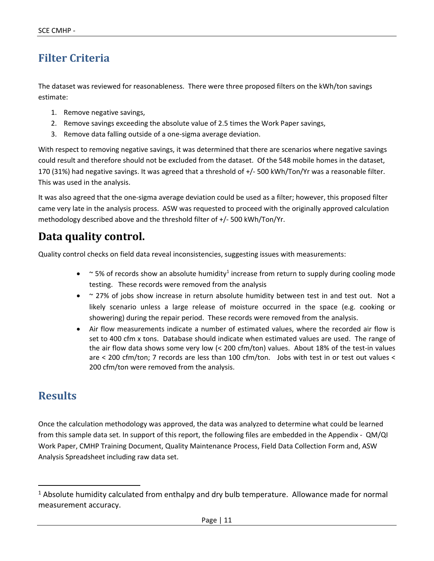## **Filter Criteria**

The dataset was reviewed for reasonableness. There were three proposed filters on the kWh/ton savings estimate:

- 1. Remove negative savings,
- 2. Remove savings exceeding the absolute value of 2.5 times the Work Paper savings,
- 3. Remove data falling outside of a one‐sigma average deviation.

With respect to removing negative savings, it was determined that there are scenarios where negative savings could result and therefore should not be excluded from the dataset. Of the 548 mobile homes in the dataset, 170 (31%) had negative savings. It was agreed that a threshold of +/‐ 500 kWh/Ton/Yr was a reasonable filter. This was used in the analysis.

It was also agreed that the one‐sigma average deviation could be used as a filter; however, this proposed filter came very late in the analysis process. ASW was requested to proceed with the originally approved calculation methodology described above and the threshold filter of +/‐ 500 kWh/Ton/Yr.

## **Data quality control.**

Quality control checks on field data reveal inconsistencies, suggesting issues with measurements:

- $\bullet$  ~ 5% of records show an absolute humidity<sup>1</sup> increase from return to supply during cooling mode testing. These records were removed from the analysis
- ~ 27% of jobs show increase in return absolute humidity between test in and test out. Not a likely scenario unless a large release of moisture occurred in the space (e.g. cooking or showering) during the repair period. These records were removed from the analysis.
- Air flow measurements indicate a number of estimated values, where the recorded air flow is set to 400 cfm x tons. Database should indicate when estimated values are used. The range of the air flow data shows some very low  $\ll$  200 cfm/ton) values. About 18% of the test-in values are < 200 cfm/ton; 7 records are less than 100 cfm/ton. Jobs with test in or test out values < 200 cfm/ton were removed from the analysis.

### **Results**

Once the calculation methodology was approved, the data was analyzed to determine what could be learned from this sample data set. In support of this report, the following files are embedded in the Appendix ‐ QM/QI Work Paper, CMHP Training Document, Quality Maintenance Process, Field Data Collection Form and, ASW Analysis Spreadsheet including raw data set.

<sup>&</sup>lt;sup>1</sup> Absolute humidity calculated from enthalpy and dry bulb temperature. Allowance made for normal measurement accuracy.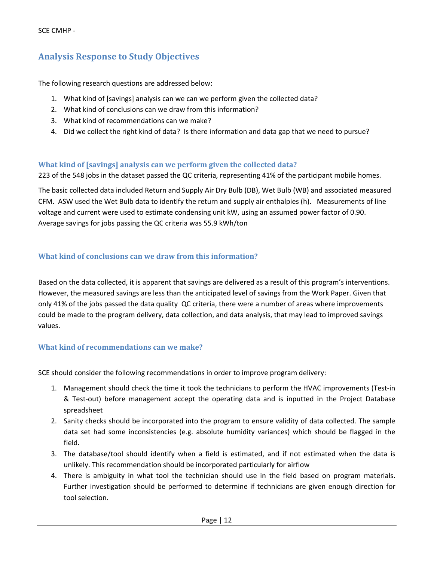### **Analysis Response to Study Objectives**

The following research questions are addressed below:

- 1. What kind of [savings] analysis can we can we perform given the collected data?
- 2. What kind of conclusions can we draw from this information?
- 3. What kind of recommendations can we make?
- 4. Did we collect the right kind of data? Is there information and data gap that we need to pursue?

#### **What kind of [savings] analysis can we perform given the collected data?**

223 of the 548 jobs in the dataset passed the QC criteria, representing 41% of the participant mobile homes.

The basic collected data included Return and Supply Air Dry Bulb (DB), Wet Bulb (WB) and associated measured CFM. ASW used the Wet Bulb data to identify the return and supply air enthalpies (h). Measurements of line voltage and current were used to estimate condensing unit kW, using an assumed power factor of 0.90. Average savings for jobs passing the QC criteria was 55.9 kWh/ton

#### **What kind of conclusions can we draw from this information?**

Based on the data collected, it is apparent that savings are delivered as a result of this program's interventions. However, the measured savings are less than the anticipated level of savings from the Work Paper. Given that only 41% of the jobs passed the data quality QC criteria, there were a number of areas where improvements could be made to the program delivery, data collection, and data analysis, that may lead to improved savings values.

#### **What kind of recommendations can we make?**

SCE should consider the following recommendations in order to improve program delivery:

- 1. Management should check the time it took the technicians to perform the HVAC improvements (Test-in & Test-out) before management accept the operating data and is inputted in the Project Database spreadsheet
- 2. Sanity checks should be incorporated into the program to ensure validity of data collected. The sample data set had some inconsistencies (e.g. absolute humidity variances) which should be flagged in the field.
- 3. The database/tool should identify when a field is estimated, and if not estimated when the data is unlikely. This recommendation should be incorporated particularly for airflow
- 4. There is ambiguity in what tool the technician should use in the field based on program materials. Further investigation should be performed to determine if technicians are given enough direction for tool selection.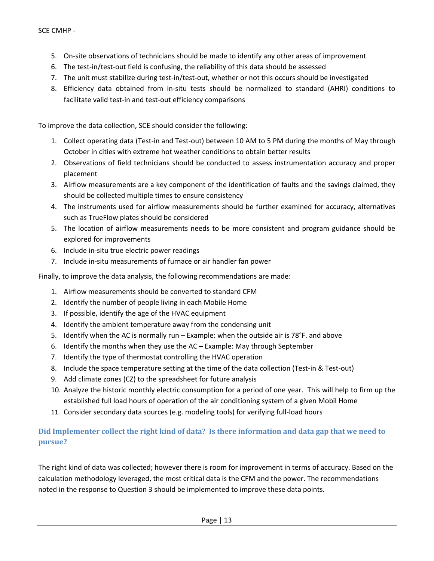- 5. On-site observations of technicians should be made to identify any other areas of improvement
- 6. The test‐in/test‐out field is confusing, the reliability of this data should be assessed
- 7. The unit must stabilize during test-in/test-out, whether or not this occurs should be investigated
- 8. Efficiency data obtained from in‐situ tests should be normalized to standard (AHRI) conditions to facilitate valid test‐in and test‐out efficiency comparisons

To improve the data collection, SCE should consider the following:

- 1. Collect operating data (Test‐in and Test‐out) between 10 AM to 5 PM during the months of May through October in cities with extreme hot weather conditions to obtain better results
- 2. Observations of field technicians should be conducted to assess instrumentation accuracy and proper placement
- 3. Airflow measurements are a key component of the identification of faults and the savings claimed, they should be collected multiple times to ensure consistency
- 4. The instruments used for airflow measurements should be further examined for accuracy, alternatives such as TrueFlow plates should be considered
- 5. The location of airflow measurements needs to be more consistent and program guidance should be explored for improvements
- 6. Include in‐situ true electric power readings
- 7. Include in‐situ measurements of furnace or air handler fan power

Finally, to improve the data analysis, the following recommendations are made:

- 1. Airflow measurements should be converted to standard CFM
- 2. Identify the number of people living in each Mobile Home
- 3. If possible, identify the age of the HVAC equipment
- 4. Identify the ambient temperature away from the condensing unit
- 5. Identify when the AC is normally run Example: when the outside air is 78°F. and above
- 6. Identify the months when they use the AC Example: May through September
- 7. Identify the type of thermostat controlling the HVAC operation
- 8. Include the space temperature setting at the time of the data collection (Test-in & Test-out)
- 9. Add climate zones (CZ) to the spreadsheet for future analysis
- 10. Analyze the historic monthly electric consumption for a period of one year. This will help to firm up the established full load hours of operation of the air conditioning system of a given Mobil Home
- 11. Consider secondary data sources (e.g. modeling tools) for verifying full-load hours

#### Did Implementer collect the right kind of data? Is there information and data gap that we need to **pursue?**

The right kind of data was collected; however there is room for improvement in terms of accuracy. Based on the calculation methodology leveraged, the most critical data is the CFM and the power. The recommendations noted in the response to Question 3 should be implemented to improve these data points.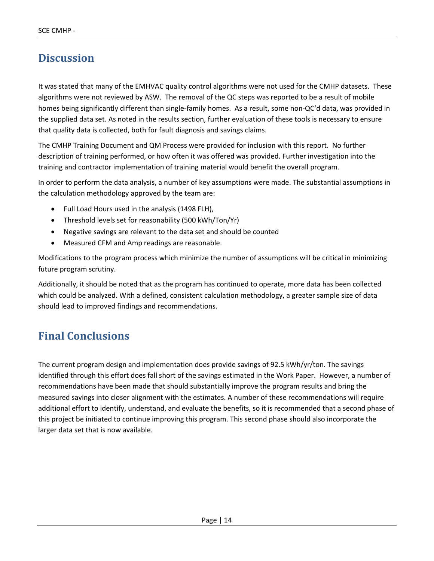## **Discussion**

It was stated that many of the EMHVAC quality control algorithms were not used for the CMHP datasets. These algorithms were not reviewed by ASW. The removal of the QC steps was reported to be a result of mobile homes being significantly different than single-family homes. As a result, some non-QC'd data, was provided in the supplied data set. As noted in the results section, further evaluation of these tools is necessary to ensure that quality data is collected, both for fault diagnosis and savings claims.

The CMHP Training Document and QM Process were provided for inclusion with this report. No further description of training performed, or how often it was offered was provided. Further investigation into the training and contractor implementation of training material would benefit the overall program.

In order to perform the data analysis, a number of key assumptions were made. The substantial assumptions in the calculation methodology approved by the team are:

- Full Load Hours used in the analysis (1498 FLH),
- Threshold levels set for reasonability (500 kWh/Ton/Yr)
- Negative savings are relevant to the data set and should be counted
- Measured CFM and Amp readings are reasonable.

Modifications to the program process which minimize the number of assumptions will be critical in minimizing future program scrutiny.

Additionally, it should be noted that as the program has continued to operate, more data has been collected which could be analyzed. With a defined, consistent calculation methodology, a greater sample size of data should lead to improved findings and recommendations.

## **Final Conclusions**

The current program design and implementation does provide savings of 92.5 kWh/yr/ton. The savings identified through this effort does fall short of the savings estimated in the Work Paper. However, a number of recommendations have been made that should substantially improve the program results and bring the measured savings into closer alignment with the estimates. A number of these recommendations will require additional effort to identify, understand, and evaluate the benefits, so it is recommended that a second phase of this project be initiated to continue improving this program. This second phase should also incorporate the larger data set that is now available.